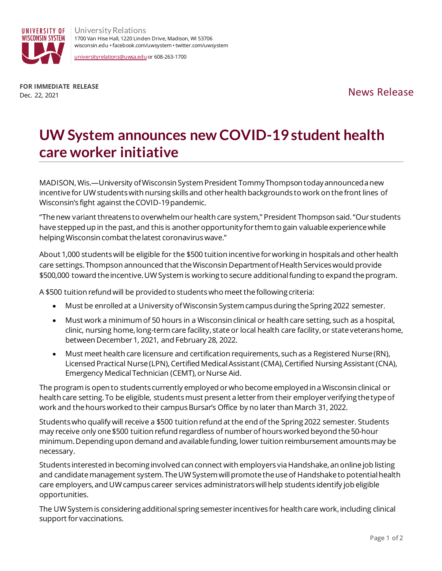

University Relations 1700 Van Hise Hall, 1220 Linden Drive, Madison, WI 53706 wisconsin.edu • facebook.com/uwsystem •twitter.com/uwsystem

[universityrelations@uwsa.edu](mailto:universityrelations@uwsa.edu) or 608-263-1700

**FOR IMMEDIATE RELEASE** Dec. 22, 2021<br>Dec. 22, 2021

## **UW System announces new COVID-19 student health care worker initiative**

MADISON, Wis.—University of Wisconsin System President Tommy Thompson today announced a new incentive for UW students with nursing skills and other health backgrounds to work on the front lines of Wisconsin's fight against the COVID-19 pandemic.

"The new variant threatens to overwhelm our health care system," President Thompson said. "Our students have stepped up in the past, and this is another opportunity for them to gain valuable experience while helping Wisconsin combat the latest coronavirus wave."

About 1,000 students will be eligible for the \$500 tuition incentivefor working in hospitals and other health care settings.Thompson announced that the Wisconsin Department of Health Services would provide \$500,000 toward the incentive.UW System is working to secure additional funding to expand the program.

A \$500 tuition refund will be provided to students who meet the following criteria:

- Must be enrolled at a University of Wisconsin System campus during the Spring 2022 semester.
- Must work a minimum of 50 hours in a Wisconsin clinical or health care setting, such as a hospital, clinic, nursing home, long-term care facility, state or local health care facility, or state veterans home, between December 1, 2021, and February 28, 2022.
- Must meet health care licensure and certification requirements, such as a Registered Nurse (RN), Licensed Practical Nurse (LPN), Certified Medical Assistant (CMA), Certified Nursing Assistant (CNA), Emergency Medical Technician (CEMT), or Nurse Aid.

The program is open to students currently employed or who become employed in a Wisconsin clinical or health care setting. To be eligible, students must present a letter from their employer verifying the type of work and the hours worked to their campus Bursar's Office by no later than March 31, 2022.

Students who qualify will receive a \$500 tuition refund at the end of the Spring 2022 semester. Students may receive only one \$500 tuition refund regardless of number of hours worked beyond the 50-hour minimum.Depending upon demand and available funding, lower tuition reimbursement amounts may be necessary.

Students interested in becoming involved can connect with employers via Handshake, an online job listing and candidate management system. The UW System will promote the use of Handshake to potential health care employers, and UW campus career services administrators will help students identify job eligible opportunities.

The UW System is considering additional spring semester incentives for health care work, including clinical support for vaccinations.